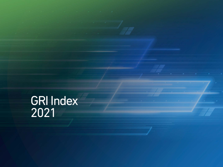GRI Index 2021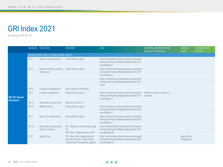# GRI Index 2021

According to GRI 102-55

|                         | STANDARD  | <b>DISCLOSURE</b>                             | <b>REFERENCE</b>                                                                                       | <b>LINK</b>                                                                                                         | ADDITIONAL INFORMATION AND<br><b>REASONS FOR OMISSION</b> | MATERIAL<br><b>ASPECT</b>  | <b>CONTRIBUTION TO</b><br>THE SDGS |  |  |  |
|-------------------------|-----------|-----------------------------------------------|--------------------------------------------------------------------------------------------------------|---------------------------------------------------------------------------------------------------------------------|-----------------------------------------------------------|----------------------------|------------------------------------|--|--|--|
|                         |           | ORGANIZATIONAL PROFILE ORGANIZATIONAL PROFILE |                                                                                                        |                                                                                                                     |                                                           |                            |                                    |  |  |  |
|                         | $102 - 1$ | Name of the organization                      | Annual Report, page 2                                                                                  | https://investorcloud.s3.amazonaws.com/nemak/<br>InformacionFinanciera/ReportesAnuales/IA-2021-<br>en.pdf#page=2    |                                                           |                            |                                    |  |  |  |
|                         | $102 - 2$ | Activities, brands, products,<br>and services | Annual Report, page 4                                                                                  | https://investorcloud.s3.amazonaws.com/nemak/<br>InformacionFinanciera/ReportesAnuales/IA-2021-<br>en.pdf#page=4    |                                                           |                            |                                    |  |  |  |
|                         |           |                                               |                                                                                                        | https://investorcloud.s3.amazonaws.com/nemak/<br>InformacionFinanciera/ReportesAnuales/IA-2021-<br>en.pdf           |                                                           |                            |                                    |  |  |  |
|                         | $102 - 3$ | Location of headquarters                      | García, Nuevo León, México.                                                                            |                                                                                                                     |                                                           |                            |                                    |  |  |  |
| <b>GRI 102: General</b> | $102 - 4$ | Location of operations                        | Annual Report, page 3                                                                                  | https://investorcloud.s3.amazonaws.com/nemak/<br>InformacionFinanciera/ReportesAnuales/IA-2021-<br>$en.pdf$ #page=3 | Nemak is active in a total of 15<br>countries.            |                            |                                    |  |  |  |
| disclosures             | $102 - 5$ | Ownership and legal form                      | Nemak, S.A.B. de C.V.                                                                                  |                                                                                                                     |                                                           |                            |                                    |  |  |  |
|                         | $102 - 6$ | Markets served                                | Annual Report, page 3                                                                                  | https://investorcloud.s3.amazonaws.com/nemak/<br>InformacionFinanciera/ReportesAnuales/IA-2021-<br>$en.pdf$ #paqe=3 |                                                           |                            |                                    |  |  |  |
|                         | $102 - 7$ | Scale of the organization                     | Annual Report, page 2                                                                                  | https://investorcloud.s3.amazonaws.com/nemak/<br>InformacionFinanciera/ReportesAnuales/IA-2021-<br>$en.pdf$ #page=2 |                                                           |                            |                                    |  |  |  |
|                         | $102 - 8$ | Information on employees<br>and other workers | SR > People and Communities, page<br>38<br>KPI Annex > Organizational profile                          | https://investorcloud.s3.amazonaws.com/nemak/<br>InformacionFinanciera/ReportesAnuales/IA-2021-<br>en.pdf#page=38   |                                                           |                            |                                    |  |  |  |
|                         | $102 - 9$ | Supply chain                                  | SR > Value chan engagement and<br>business integrity > Responsible<br>Supply Chain Management, page 55 | https://investorcloud.s3.amazonaws.com/nemak/<br>InformacionFinanciera/ReportesAnuales/IA-2021-<br>en.pdf#page=55   |                                                           | Supply Chain<br>Management |                                    |  |  |  |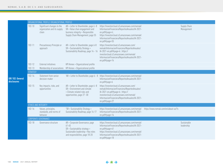|                                               |                             | ORGANIZATIONAL PROFILE ORGANIZATIONAL PROFILE                      |                                                                                                                                                        |                                                                                                                                                                                                                                            |                                      |                            |
|-----------------------------------------------|-----------------------------|--------------------------------------------------------------------|--------------------------------------------------------------------------------------------------------------------------------------------------------|--------------------------------------------------------------------------------------------------------------------------------------------------------------------------------------------------------------------------------------------|--------------------------------------|----------------------------|
|                                               | $102 - 10$                  | Significant changes to the<br>organization and its supply<br>chain | AR > Letter to Shareholder, page 6-8<br>SR > Value chan engagement and<br>business integrity > Responsible<br>Supply Chain Management, page 55         | https://investorcloud.s3.amazonaws.com/nemak/<br>InformacionFinanciera/ReportesAnuales/IA-2021-<br>$en.pdf\#page=6$ ;<br>https://investorcloud.s3.amazonaws.com/nemak/<br>InformacionFinanciera/ReportesAnuales/IA-2021-<br>en.pdf#page=55 |                                      | Supply Chain<br>Management |
|                                               | $102 - 11$                  | Precautionary Principle or<br>approach                             | AR > Letter to Shareholder, page 6-8<br>SR > Sustainability Strategy ><br>Sustainability Roadmap, page 14 - 16                                         | https://investorcloud.s3.amazonaws.com/<br>nemak/InformacionFinanciera/ReportesAnuales/<br>IA-2021-en.pdf#page=6; https://<br>investorcloud.s3.amazonaws.com/nemak/<br>InformacionFinanciera/ReportesAnuales/IA-2021-<br>en.pdf#page=14    |                                      |                            |
|                                               | $102 - 12$                  | External initiatives                                               | KPI Annex > Organizational profile                                                                                                                     |                                                                                                                                                                                                                                            |                                      |                            |
|                                               | $102 - 13$                  | Membership of associations                                         | KPI Annex > Organizational profile                                                                                                                     |                                                                                                                                                                                                                                            |                                      |                            |
|                                               | STRATEGY                    |                                                                    |                                                                                                                                                        |                                                                                                                                                                                                                                            |                                      |                            |
| <b>GRI 102: General</b><br><b>disclosures</b> | $102 - 14$                  | Statement from senior<br>decision-maker                            | "AR > Letter to Shareholder, page 6 - 8                                                                                                                | https://investorcloud.s3.amazonaws.com/nemak/<br>InformacionFinanciera/ReportesAnuales/IA-2021-<br>$en.pdf\#page=6$                                                                                                                        |                                      |                            |
|                                               | $102 - 15$                  | Key impacts, risks, and<br>opportunities                           | AR > Letter to Shareholder, page 6-8<br>SR > Environment and climate<br>> Climate-related risks and<br>opportunities, page 27 -30                      | https://investorcloud.s3.amazonaws.com/<br>nemak/InformacionFinanciera/ReportesAnuales/<br>IA-2021-en.pdf#page=6; https://<br>investorcloud.s3.amazonaws.com/nemak/<br>InformacionFinanciera/ReportesAnuales/IA-2021-<br>en.pdf#page=27    |                                      |                            |
|                                               | <b>ETHICS AND INTEGRITY</b> |                                                                    |                                                                                                                                                        |                                                                                                                                                                                                                                            |                                      |                            |
|                                               | $102 - 16$                  | Values, principles,<br>standards, and norms of<br>behavior         | "SR > Sustainability Strategy ><br>Sustainability Roadmap, page 14-17                                                                                  | https://investorcloud.s3.amazonaws.com/nemak/<br>InformacionFinanciera/ReportesAnuales/IA-2021-<br>en.pdf#page=14                                                                                                                          | https://www.nemak.com/en/about-us/?s |                            |
|                                               |                             | <b>CORPORATE GOVERNANCE</b>                                        |                                                                                                                                                        |                                                                                                                                                                                                                                            |                                      |                            |
|                                               | $102 - 18$                  | Governance structure                                               | AR > Corporate Governance, page<br>$61 - 65$<br>SR > Sustainablity strategy ><br>Sustainable leadership > Key roles<br>and responsibilites, page 18-20 | https://investorcloud.s3.amazonaws.com/nemak/<br>InformacionFinanciera/ReportesAnuales/IA-2021-<br>en.pdf#page=61<br>https://investorcloud.s3.amazonaws.com/nemak/<br>InformacionFinanciera/ReportesAnuales/IA-2021-<br>en.pdf#page=18     |                                      | Sustainable<br>leadership  |
|                                               |                             |                                                                    |                                                                                                                                                        |                                                                                                                                                                                                                                            |                                      |                            |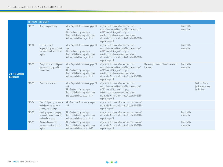|                                               | <b>CORPORATE GOVERNANCE</b> |                                                                                        |                                                                                                                                                         |                                                                                                                                                                                                                                             |                                                                  |                           |                                                       |  |  |  |
|-----------------------------------------------|-----------------------------|----------------------------------------------------------------------------------------|---------------------------------------------------------------------------------------------------------------------------------------------------------|---------------------------------------------------------------------------------------------------------------------------------------------------------------------------------------------------------------------------------------------|------------------------------------------------------------------|---------------------------|-------------------------------------------------------|--|--|--|
| <b>GRI 102: General</b><br><b>disclosures</b> | $102 - 19$                  | Delegating authority                                                                   | "AR > Corporate Governance, page 61<br>$-65$<br>SR > Sustainablity strategy ><br>Sustainable leadership > Key roles<br>and responsibilites, page 18-20" | https://investorcloud.s3.amazonaws.com/<br>nemak/InformacionFinanciera/ReportesAnuales/<br>IA-2021-en.pdf#page=61; https://<br>investorcloud.s3.amazonaws.com/nemak/<br>InformacionFinanciera/ReportesAnuales/IA-2021-<br>$en.pdf\#page=18$ |                                                                  | Sustainable<br>leadership |                                                       |  |  |  |
|                                               | $102 - 20$                  | Executive-level<br>responsibility for economic,<br>environmental, and social<br>topics | "AR > Corporate Governance, page 61<br>$-65$<br>SR > Sustainablity strategy ><br>Sustainable leadership > Key roles<br>and responsibilites, page 18-20" | https://investorcloud.s3.amazonaws.com/<br>nemak/InformacionFinanciera/ReportesAnuales/<br>IA-2021-en.pdf#page=61; https://<br>investorcloud.s3.amazonaws.com/nemak/<br>InformacionFinanciera/ReportesAnuales/IA-2021-<br>en.pdf#page=18    |                                                                  | Sustainable<br>leadership |                                                       |  |  |  |
|                                               | $102 - 22$                  | Composition of the highest<br>governance body and its<br>committees                    | "AR > Corporate Governance, page 61<br>$-65$<br>SR > Sustainablity strategy ><br>Sustainable leadership > Key roles<br>and responsibilites, page 18-20" | https://investorcloud.s3.amazonaws.com/<br>nemak/InformacionFinanciera/ReportesAnuales/<br>IA-2021-en.pdf#page=61; https://<br>investorcloud.s3.amazonaws.com/nemak/<br>InformacionFinanciera/ReportesAnuales/IA-2021-<br>en.pdf#page=18    | The average tenure of board members is Sustainable<br>7.5 years. | leadership                |                                                       |  |  |  |
|                                               | $102 - 25$                  | Conflicts of interest                                                                  | "AR > Corporate Governance, page 61<br>$-65$<br>SR > Sustainablity strategy ><br>Sustainable leadership > Key roles<br>and responsibilites, page 18-20" | https://investorcloud.s3.amazonaws.com/<br>nemak/InformacionFinanciera/ReportesAnuales/<br>IA-2021-en.pdf#page=61; https://<br>investorcloud.s3.amazonaws.com/nemak/<br>InformacionFinanciera/ReportesAnuales/IA-2021-<br>en.pdf#page=18    |                                                                  |                           | Goal 16: Peace,<br>justice and strong<br>institutions |  |  |  |
|                                               | $102 - 26$                  | Role of highest governance<br>body in setting purpose,<br>values, and strategy         | AR > Corporate Governance, page 61<br>$-65$                                                                                                             | https://investorcloud.s3.amazonaws.com/nemak/<br>InformacionFinanciera/ReportesAnuales/IA-2021-<br>en.pdf#page=61                                                                                                                           |                                                                  |                           |                                                       |  |  |  |
|                                               | $102 - 29$                  | Identifying and managing<br>economic, environmental,<br>and social impacts             | SR > Sustainablity strategy ><br>Sustainable leadership > Key roles<br>and responsibilites, page 18-20                                                  | https://investorcloud.s3.amazonaws.com/nemak/<br>InformacionFinanciera/ReportesAnuales/IA-2021-<br>en.pdf#page=18                                                                                                                           |                                                                  | Sustainable<br>leadership |                                                       |  |  |  |
|                                               | $102 - 31$                  | Review of economic,<br>environmental, and social<br>topics                             | SR > Sustainablity strategy ><br>Sustainable leadership > Key roles<br>and responsibilites, page 18 -20                                                 | https://investorcloud.s3.amazonaws.com/nemak/<br>InformacionFinanciera/ReportesAnuales/IA-2021-<br>$en.pdf\#page=18$                                                                                                                        |                                                                  | Sustainable<br>leadership |                                                       |  |  |  |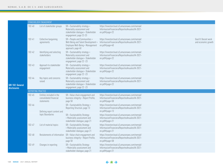|                                        |                    | STAKEHOLDER ENGAGEMENT                                           |                                                                                                                               |                                                                                                                      |  |                                            |  |  |  |
|----------------------------------------|--------------------|------------------------------------------------------------------|-------------------------------------------------------------------------------------------------------------------------------|----------------------------------------------------------------------------------------------------------------------|--|--------------------------------------------|--|--|--|
|                                        | $102 - 40$         | List of stakeholder groups                                       | SR > Sustainablity strategy ><br>Materiality assessment and<br>stakeholder dialogue > Stakeholder<br>engagement, page 22-23   | https://investorcloud.s3.amazonaws.com/nemak/<br>InformacionFinanciera/ReportesAnuales/IA-2021-<br>en.pdf#page=22    |  |                                            |  |  |  |
|                                        | $102 - 41$         | Collective bargaining<br>agreements                              | SR > People and Communities ><br>Well-Being and Talent Development ><br>Employee Well-Being > Management<br>approach, page 40 | https://investorcloud.s3.amazonaws.com/nemak/<br>InformacionFinanciera/ReportesAnuales/IA-2021-<br>en.pdf#page=40    |  | Goal 8: Decent work<br>and economic growth |  |  |  |
|                                        | $102 - 42$         | Identifying and selecting<br>stakeholders                        | SR > Sustainablity strategy ><br>Materiality assessment and<br>stakeholder dialogue > Stakeholder<br>engagement, page 22 -23  | https://investorcloud.s3.amazonaws.com/nemak/<br>InformacionFinanciera/ReportesAnuales/IA-2021-<br>en.pdf#page=22    |  |                                            |  |  |  |
| <b>GRI 102: General</b><br>disclosures | $102 - 43$         | Approach to stakeholder<br>engagement                            | SR > Sustainablity strategy ><br>Materiality assessment and<br>stakeholder dialogue > Stakeholder<br>engagement, page 22 -23  | https://investorcloud.s3.amazonaws.com/nemak/<br>InformacionFinanciera/ReportesAnuales/IA-2021-<br>en.pdf#page=22    |  |                                            |  |  |  |
|                                        | 102-44             | Key topics and concerns<br>raised                                | SR > Sustainablity strategy ><br>Materiality assessment and<br>stakeholder dialogue > Stakeholder<br>engagement, page 22 -23  | https://investorcloud.s3.amazonaws.com/nemak/<br>InformacionFinanciera/ReportesAnuales/IA-2021-<br>en.pdf#page=22    |  |                                            |  |  |  |
|                                        | REPORTING PRACTICE |                                                                  |                                                                                                                               |                                                                                                                      |  |                                            |  |  |  |
|                                        | $102 - 45$         | Entities included in the<br>consolidated financial<br>statements | SR > Value chain engagement and<br>business integrity > Report Profile,<br>page 58                                            | https://investorcloud.s3.amazonaws.com/nemak/<br>InformacionFinanciera/ReportesAnuales/IA-2021-<br>en.pdf#page=58    |  |                                            |  |  |  |
|                                        | $102 - 46$         | Defining report content and                                      | SR > Sustainability Strategy ><br>Reporting Structure, page 13                                                                | https://investorcloud.s3.amazonaws.com/nemak/<br>InformacionFinanciera/ReportesAnuales/IA-2021-<br>$en.pdf$ #page=13 |  |                                            |  |  |  |
|                                        |                    | topic Boundaries                                                 | SR > Sustainability Strategy<br>> Materiality assessment and<br>stakeholder dialogue, page 21                                 | https://investorcloud.s3.amazonaws.com/nemak/<br>InformacionFinanciera/ReportesAnuales/IA-2021-<br>$en.pdf$ #page=21 |  |                                            |  |  |  |
|                                        | $102 - 47$         | List of material topics                                          | SR > Sustainability Strategy<br>> Materiality assessment and<br>stakeholder dialogue, page 21                                 | https://investorcloud.s3.amazonaws.com/nemak/<br>InformacionFinanciera/ReportesAnuales/IA-2021-<br>$en.pdf$ #page=21 |  |                                            |  |  |  |
|                                        | $102 - 48$         | Restatements of information                                      | SR > Value chain engagement and<br>business integrity > Report Profile,<br>page 58                                            | https://investorcloud.s3.amazonaws.com/nemak/<br>InformacionFinanciera/ReportesAnuales/IA-2021-<br>en.pdf#page=58    |  |                                            |  |  |  |
|                                        | $102 - 49$         | Changes in reporting                                             | SR > Sustainability Strategy<br>> Materiality assessment and<br>stakeholder dialogue, page 21                                 | https://investorcloud.s3.amazonaws.com/nemak/<br>InformacionFinanciera/ReportesAnuales/IA-2021-<br>en.pdf#page=21    |  |                                            |  |  |  |

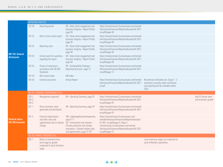|                                                    | REPORTING PRACTICE                    |                                                                                         |                                                                                                                                                                                                |                                                                                                                                                                                                                                         |                                                                                                                                      |                                            |  |  |  |
|----------------------------------------------------|---------------------------------------|-----------------------------------------------------------------------------------------|------------------------------------------------------------------------------------------------------------------------------------------------------------------------------------------------|-----------------------------------------------------------------------------------------------------------------------------------------------------------------------------------------------------------------------------------------|--------------------------------------------------------------------------------------------------------------------------------------|--------------------------------------------|--|--|--|
|                                                    | $102 - 50$                            | Reporting period                                                                        | $SR$ > Value chain engagement and<br>business integrity > Report Profile,<br>page 58                                                                                                           | https://investorcloud.s3.amazonaws.com/nemak/<br>InformacionFinanciera/ReportesAnuales/IA-2021-<br>en.pdf#page=58                                                                                                                       |                                                                                                                                      |                                            |  |  |  |
|                                                    | $102 - 51$                            | Date of most recent report                                                              | SR > Value chain engagement and<br>business integrity > Report Profile,<br>page 58                                                                                                             | https://investorcloud.s3.amazonaws.com/nemak/<br>InformacionFinanciera/ReportesAnuales/IA-2021-<br>en.pdf#page=58                                                                                                                       |                                                                                                                                      |                                            |  |  |  |
| <b>GRI 102: General</b><br><b>disclosures</b>      | $102 - 52$                            | Reporting cycle                                                                         | $SR$ > Value chain engagement and<br>business integrity > Report Profile,<br>page 58                                                                                                           | https://investorcloud.s3.amazonaws.com/nemak/<br>InformacionFinanciera/ReportesAnuales/IA-2021-<br>en.pdf#page=58                                                                                                                       |                                                                                                                                      |                                            |  |  |  |
|                                                    | $102 - 53$                            | Contact point for questions<br>regarding the report                                     | SR > Value chain engagement and<br>business integrity > Report Profile,<br>page 58                                                                                                             | https://investorcloud.s3.amazonaws.com/nemak/<br>InformacionFinanciera/ReportesAnuales/IA-2021-<br>en.pdf#page=58                                                                                                                       |                                                                                                                                      |                                            |  |  |  |
|                                                    | $102 - 54$                            | Claims of reporting in<br>accordance with the GRI<br>Standards                          | SR > Sustainability Strategy ><br>Reporting Structure, page 13                                                                                                                                 | https://investorcloud.s3.amazonaws.com/nemak/<br>InformacionFinanciera/ReportesAnuales/IA-2021-<br>$en.pdf$ #page=13                                                                                                                    |                                                                                                                                      |                                            |  |  |  |
|                                                    | $102 - 55$                            | <b>GRI</b> content index                                                                | GRI Index                                                                                                                                                                                      |                                                                                                                                                                                                                                         |                                                                                                                                      |                                            |  |  |  |
|                                                    | 102-56                                | External assurance                                                                      | Annual Report                                                                                                                                                                                  | https://investorcloud.s3.amazonaws.com/nemak/<br>InformacionFinanciera/ReportesAnuales/IA-2021-<br>en.pdf                                                                                                                               | No external verification yet. Scope 1-2<br>emissions currently under verification<br>and reporitng will be available within<br>2022. |                                            |  |  |  |
|                                                    | GRI 201: ECONOMIC PERFORMANCE 2016    |                                                                                         |                                                                                                                                                                                                |                                                                                                                                                                                                                                         |                                                                                                                                      |                                            |  |  |  |
|                                                    | $103 - 1,$<br>$103 - 2,$<br>$103 - 3$ | Management approach                                                                     | AR > Operating Summary, page 59                                                                                                                                                                | https://investorcloud.s3.amazonaws.com/nemak/<br>InformacionFinanciera/ReportesAnuales/IA-2021-<br>en.pdf#page=59                                                                                                                       |                                                                                                                                      | Goal 8: Decent work<br>and economic growth |  |  |  |
|                                                    | $201 - 1$                             | Direct economic value<br>generated and distributed                                      | AR > Operating Summary, page 59                                                                                                                                                                | https://investorcloud.s3.amazonaws.com/nemak/<br>InformacionFinanciera/ReportesAnuales/IA-2021-<br>en.pdf#page=59                                                                                                                       |                                                                                                                                      |                                            |  |  |  |
| <b>Material topics:</b><br><b>GRI 200 Economic</b> | $201 - 2$                             | Financial implications<br>and other risks and<br>opportunities due to climate<br>change | "AR> Lightweighting Developments,<br>page 9-11<br>$SR >$ Environment and climate $>$<br>Climate protection and climate<br>innovation > Climate-related risks<br>and opportunities, page 27-30" | https://investorcloud.s3.amazonaws.com/<br>nemak/InformacionFinanciera/ReportesAnuales/<br>IA-2021-en.pdf#page=9; https://<br>investorcloud.s3.amazonaws.com/nemak/<br>InformacionFinanciera/ReportesAnuales/IA-2021-<br>en.pdf#page=27 |                                                                                                                                      |                                            |  |  |  |
|                                                    |                                       | GRI 202: MARKET PRESENCE 2016                                                           |                                                                                                                                                                                                |                                                                                                                                                                                                                                         |                                                                                                                                      |                                            |  |  |  |
|                                                    | $202 - 1$                             | Ratios of standard entry<br>level wage by gender<br>compared to local minimum<br>wage   |                                                                                                                                                                                                |                                                                                                                                                                                                                                         | Local minimum wages are respected at<br>each of Nemak's operations.                                                                  |                                            |  |  |  |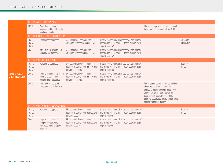|                                                    |                                         | GRI 202: MARKET PRESENCE 2016                                                             |                                                                                                 |                                                                                                                   |                                                                                                                                                                                                                                                                                          |                           |
|----------------------------------------------------|-----------------------------------------|-------------------------------------------------------------------------------------------|-------------------------------------------------------------------------------------------------|-------------------------------------------------------------------------------------------------------------------|------------------------------------------------------------------------------------------------------------------------------------------------------------------------------------------------------------------------------------------------------------------------------------------|---------------------------|
|                                                    | $202 - 2$                               | Proportion of senior<br>management hired from the<br>local community                      |                                                                                                 |                                                                                                                   | The percentage of senior management<br>hired from local community is 13,3%.                                                                                                                                                                                                              |                           |
|                                                    |                                         | GRI 203: INDIRECT ECONOMIC IMPACTS 2016                                                   |                                                                                                 |                                                                                                                   |                                                                                                                                                                                                                                                                                          |                           |
|                                                    | $103 - 1$ ,<br>$103 - 2$ ,<br>$103 - 3$ | Management approach                                                                       | SR > People and communities ><br>Corporate citizenship, page 47-48                              | https://investorcloud.s3.amazonaws.com/nemak/<br>InformacionFinanciera/ReportesAnuales/IA-2021-<br>en.pdf#page=47 |                                                                                                                                                                                                                                                                                          | Corporate<br>citizenship  |
|                                                    | $203 - 1$                               | Infrastructure investments<br>and services supported                                      | SR > People and communities ><br>Corporate citizenship page 47-48                               | https://investorcloud.s3.amazonaws.com/nemak/<br>InformacionFinanciera/ReportesAnuales/IA-2021-<br>en.pdf#page=47 |                                                                                                                                                                                                                                                                                          |                           |
|                                                    |                                         | GRI 205: ANTI-CORRUPTION 2016                                                             |                                                                                                 |                                                                                                                   |                                                                                                                                                                                                                                                                                          |                           |
|                                                    | $103 - 1$ ,<br>$103 - 2$ ,<br>$103 - 3$ | Management approach                                                                       | SR > Value chain engagement and<br>business integrity > Anti-bribery and<br>corruption, page 50 | https://investorcloud.s3.amazonaws.com/nemak/<br>InformacionFinanciera/ReportesAnuales/IA-2021-<br>en.pdf#page=50 |                                                                                                                                                                                                                                                                                          | <b>Business</b><br>ethics |
| <b>Material topics:</b><br><b>GRI 200 Economic</b> | $205 - 2$                               | Communication and training<br>about anti-corruption<br>policies and procedures            | SR > Value chain engagement and<br>business integrity > Anti-bribery and<br>corruption, page 50 | https://investorcloud.s3.amazonaws.com/nemak/<br>InformacionFinanciera/ReportesAnuales/IA-2021-<br>en.pdf#page=50 |                                                                                                                                                                                                                                                                                          |                           |
|                                                    | $205 - 3$                               | Confirmed incidents of<br>corruption and actions taken                                    |                                                                                                 |                                                                                                                   | The total number of confirmed incidents<br>of corruption is not a figure that the<br>Company tracks. Any confirmed cases<br>are dealt with appropriately on an<br>case-to-case basis. In 2021, there have<br>been no legal cases regarding corruption<br>against Nemak or its employees. |                           |
|                                                    |                                         | GRI 206: ANTI-COMPETITIVE BEHAVIOR 2016                                                   |                                                                                                 |                                                                                                                   |                                                                                                                                                                                                                                                                                          |                           |
|                                                    | $103 - 1$<br>$103 - 2$ ,<br>$103 - 3$   | Management approach                                                                       | SR > Value chain engagement and<br>business integrity > Anti-competitive<br>behavior, page 51   | https://investorcloud.s3.amazonaws.com/nemak/<br>InformacionFinanciera/ReportesAnuales/IA-2021-<br>en.pdf#page=51 |                                                                                                                                                                                                                                                                                          | <b>Business</b><br>ethics |
|                                                    | $206 - 1$                               | Legal actions for anti-<br>competitive behavior,<br>anti-trust, and monopoly<br>practices | SR > Value chain engagement and<br>business integrity > Anti-competitive<br>behavior, page 51   | https://investorcloud.s3.amazonaws.com/nemak/<br>InformacionFinanciera/ReportesAnuales/IA-2021-<br>en.pdf#page=51 |                                                                                                                                                                                                                                                                                          |                           |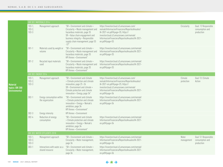|                                        | GRI 301: MATERIALS 2016                         |                                                                                                                                                                                                                              |                                                                                                                                                                                                                                          |                       |                                                       |
|----------------------------------------|-------------------------------------------------|------------------------------------------------------------------------------------------------------------------------------------------------------------------------------------------------------------------------------|------------------------------------------------------------------------------------------------------------------------------------------------------------------------------------------------------------------------------------------|-----------------------|-------------------------------------------------------|
| $103 - 1,$<br>$103 - 2$ ,<br>$103 - 3$ | Management approach                             | "SR > Environment and climate ><br>Circularity > Waste management and<br>hazardous materials, page 35<br>$SR$ > Value chain engagement and<br>business integrity > Responsible<br>supply chain management, page 55<br>$-57"$ | https://investorcloud.s3.amazonaws.com/<br>nemak/InformacionFinanciera/ReportesAnuales/<br>IA-2021-en.pdf#page=35; https://<br>investorcloud.s3.amazonaws.com/nemak/<br>InformacionFinanciera/ReportesAnuales/IA-2021-<br>en.pdf#page=55 | Circularity           | Goal: 12 Responsible<br>consumption and<br>production |
| $301 - 1$                              | Materials used by weight or<br>volume           | "SR > Environment and climate ><br>Circularity > Waste management and<br>hazardous materials, page 35<br>KPI Annex > Environment"                                                                                            | https://investorcloud.s3.amazonaws.com/nemak/<br>InformacionFinanciera/ReportesAnuales/IA-2021-<br>$en.pdf$ #page=35                                                                                                                     |                       |                                                       |
| $301 - 2$                              | Recycled input materials<br>used                | "SR > Environment and climate ><br>Circularity > Waste management and<br>hazardous materials, page 35<br>KPI Annex > Environment"                                                                                            | https://investorcloud.s3.amazonaws.com/nemak/<br>InformacionFinanciera/ReportesAnuales/IA-2021-<br>$en.pdf$ #page=35                                                                                                                     |                       |                                                       |
|                                        | GRI 302: ENERGY 2016                            |                                                                                                                                                                                                                              |                                                                                                                                                                                                                                          |                       |                                                       |
| $103 - 1,$<br>$103 - 2$ ,<br>$103 - 3$ | Management approach                             | "SR > Environment and climate<br>> Climate protection and climate<br>innovation, page 25-26<br>SR > Environment and climate ><br>Climate protection and climate<br>innovation > Energy, page 34"                             | https://investorcloud.s3.amazonaws.com/<br>nemak/InformacionFinanciera/ReportesAnuales/<br>IA-2021-en.pdf#page=25; https://<br>investorcloud.s3.amazonaws.com/nemak/<br>InformacionFinanciera/ReportesAnuales/IA-2021-<br>en.pdf#page=34 | Climate<br>protection | Goal 13: Climate<br>Action                            |
| $302 - 1$                              | Energy consumption within<br>the organization   | "SR > Environment and climate<br>> Climate protection and climate<br>innovation > Energy > Nemak's<br>amibition, page 34<br>KPI Annex > Environment"                                                                         | https://investorcloud.s3.amazonaws.com/nemak/<br>InformacionFinanciera/ReportesAnuales/IA-2021-<br>en.pdf#page=34                                                                                                                        |                       |                                                       |
| $302 - 3$                              | Energy intensity                                | <b>KPI Annex &gt; Environment</b>                                                                                                                                                                                            |                                                                                                                                                                                                                                          |                       |                                                       |
| $302 - 4$                              | Reduction of energy<br>consumption              | "SR > Environment and climate<br>> Climate protection and climate<br>innovation > Energy > Nemak's<br>amibition, page 34<br>KPI Annex > Environment"                                                                         | https://investorcloud.s3.amazonaws.com/nemak/<br>InformacionFinanciera/ReportesAnuales/IA-2021-<br>en.pdf#page=34                                                                                                                        |                       |                                                       |
|                                        | GRI 303: WATER EFFLUENTS 2018                   |                                                                                                                                                                                                                              |                                                                                                                                                                                                                                          |                       |                                                       |
| $103 - 1,$<br>$103 - 2,$<br>$103 - 3$  | Management approach                             | "SR > Environment and climate ><br>Circularity > Water management,<br>page 36                                                                                                                                                | https://investorcloud.s3.amazonaws.com/nemak/<br>InformacionFinanciera/ReportesAnuales/IA-2021-<br>en.pdf#page=36                                                                                                                        | Water<br>management   | Goal 12: Responsible<br>consumption and<br>production |
| $303 - 1$                              | Interactions with water as a<br>shared resource | "SR > Environment and climate ><br>Circularity > Water management,<br>page 36                                                                                                                                                | https://investorcloud.s3.amazonaws.com/nemak/<br>InformacionFinanciera/ReportesAnuales/IA-2021-<br>en.pdf#page=36                                                                                                                        |                       |                                                       |

Material topics: GRI 300 **Environmental** 

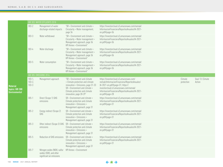|                                       | GRI 303: WATER EFFLUENTS 2018                                                         |                                                                                                                                                                                                        |                                                                                                                                                                                                                                          |                       |                            |
|---------------------------------------|---------------------------------------------------------------------------------------|--------------------------------------------------------------------------------------------------------------------------------------------------------------------------------------------------------|------------------------------------------------------------------------------------------------------------------------------------------------------------------------------------------------------------------------------------------|-----------------------|----------------------------|
| $303 - 2$                             | Management of water<br>discharge-related impacts                                      | "SR > Environment and climate ><br>Circularity > Water management,<br>page 36                                                                                                                          | https://investorcloud.s3.amazonaws.com/nemak/<br>InformacionFinanciera/ReportesAnuales/IA-2021-<br>en.pdf#page=36                                                                                                                        |                       |                            |
| $303 - 3$                             | Water withdrawal                                                                      | "SR > Environment and climate ><br>Circularity > Water management ><br>Management approach, page 36<br>KPI Annex > Environment"                                                                        | https://investorcloud.s3.amazonaws.com/nemak/<br>InformacionFinanciera/ReportesAnuales/IA-2021-<br>en.pdf#page=36                                                                                                                        |                       |                            |
| $303 - 4$                             | Water discharge                                                                       | "SR > Environment and climate ><br>Circularity > Water management ><br>Management approach, page 36<br>KPI Annex > Environment"                                                                        | https://investorcloud.s3.amazonaws.com/nemak/<br>InformacionFinanciera/ReportesAnuales/IA-2021-<br>en.pdf#page=36                                                                                                                        |                       |                            |
| $303 - 5$                             | Water consumption                                                                     | "SR > Environment and climate ><br>Circularity > Water management ><br>Management approach, page 36<br>KPI Annex > Environment"                                                                        | https://investorcloud.s3.amazonaws.com/nemak/<br>InformacionFinanciera/ReportesAnuales/IA-2021-<br>en.pdf#page=36                                                                                                                        |                       |                            |
|                                       | GRI 305: EMISSIONS 2016                                                               |                                                                                                                                                                                                        |                                                                                                                                                                                                                                          |                       |                            |
| $103 - 1,$<br>$103 - 2,$<br>$103 - 3$ | Management approach                                                                   | "SR > Environment and climate<br>> Climate protection and climate<br>innovation > Emissions, page 31-33<br>SR > Environment and climate ><br>Climate protection and climate<br>innovation, page 28-29" | https://investorcloud.s3.amazonaws.com/<br>nemak/InformacionFinanciera/ReportesAnuales/<br>IA-2021-en.pdf#page=31; https://<br>investorcloud.s3.amazonaws.com/nemak/<br>InformacionFinanciera/ReportesAnuales/IA-2021-<br>en.pdf#page=28 | Climate<br>protection | Goal 13: Climate<br>Action |
| $305 - 1$                             | Direct (Scope 1) GHG<br>emissions                                                     | SR > Environment and climate ><br>Climate protection and climate<br>innovation > Emissions ><br>Management approach, page 31                                                                           | https://investorcloud.s3.amazonaws.com/nemak/<br>InformacionFinanciera/ReportesAnuales/IA-2021-<br>en.pdf#page=31                                                                                                                        |                       |                            |
| $305 - 2$                             | Energy indirect (Scope 2)<br>GHG                                                      | $SR$ > Environment and climate ><br>Climate protection and climate<br>innovation > Emissions ><br>Management approach, page 31                                                                         | https://investorcloud.s3.amazonaws.com/nemak/<br>InformacionFinanciera/ReportesAnuales/IA-2021-<br>en.pdf#page=31                                                                                                                        |                       |                            |
| $305 - 3$                             | Other indirect (Scope 3) GHG<br>emissions                                             | SR > Environment and climate ><br>Climate protection and climate<br>innovation > Emissions ><br>Management approach, page 31                                                                           | https://investorcloud.s3.amazonaws.com/nemak/<br>InformacionFinanciera/ReportesAnuales/IA-2021-<br>en.pdf#page=31                                                                                                                        |                       |                            |
| $305 - 5$                             | Reduction of GHG emissions                                                            | $SR >$ Environment and climate $>$<br>Climate protection and climate<br>innovation > Emissions ><br>Management appraoch, page 31                                                                       | https://investorcloud.s3.amazonaws.com/nemak/<br>InformacionFinanciera/ReportesAnuales/IA-2021-<br>en.pdf#page=31                                                                                                                        |                       |                            |
| $305 - 7$                             | Nitrogen oxides (NOX), sulfur<br>oxides (SOX), and other<br>significant air emissions | KPI Annex > Environment                                                                                                                                                                                |                                                                                                                                                                                                                                          |                       |                            |

**132 NEMAK** 2021 ANNUAL REPORT

**Material** 

topics: GRI 300 Environmental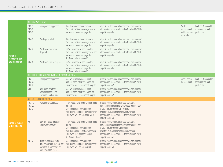|                                                     | GRI 306: WASTE 2020                    |                                                                                                              |                                                                                                                                                                                           |                                                                                                                                                                                                                                          |                                                   |                                                       |  |  |  |  |  |
|-----------------------------------------------------|----------------------------------------|--------------------------------------------------------------------------------------------------------------|-------------------------------------------------------------------------------------------------------------------------------------------------------------------------------------------|------------------------------------------------------------------------------------------------------------------------------------------------------------------------------------------------------------------------------------------|---------------------------------------------------|-------------------------------------------------------|--|--|--|--|--|
|                                                     | $103 - 1,$<br>$103 - 2$<br>$103 - 3$   | Management approach                                                                                          | SR > Environment and climate ><br>Circularity > Waste management and<br>hazardous materials, page 35                                                                                      | https://investorcloud.s3.amazonaws.com/nemak/<br>InformacionFinanciera/ReportesAnuales/IA-2021-<br>en.pdf#page=35                                                                                                                        | Waste<br>management<br>and hazardous<br>materials | Goal 12: Responsible<br>consumption and<br>production |  |  |  |  |  |
|                                                     | $306 - 3$                              | Waste generated                                                                                              | $SR >$ Environment and climate $>$<br>Circularity > Waste management and<br>hazardous materials, page 35                                                                                  | https://investorcloud.s3.amazonaws.com/nemak/<br>InformacionFinanciera/ReportesAnuales/IA-2021-<br>en.pdf#page=35                                                                                                                        |                                                   |                                                       |  |  |  |  |  |
| <b>Material</b><br>topics: GRI 300<br>Environmental | $306 - 4$                              | Waste diverted from<br>disposal                                                                              | "SR > Environment and climate ><br>Circularity > Waste management and<br>hazardous materials, page 35<br>KPI Annex > Environment"                                                         | https://investorcloud.s3.amazonaws.com/nemak/<br>InformacionFinanciera/ReportesAnuales/IA-2021-<br>en.pdf#page=35                                                                                                                        |                                                   |                                                       |  |  |  |  |  |
|                                                     | $306 - 5$                              | Waste directed to disposal                                                                                   | "SR > Environment and climate ><br>Circularity > Waste management and<br>hazardous materials, page 35<br>KPI Annex > Environment"                                                         | https://investorcloud.s3.amazonaws.com/nemak/<br>InformacionFinanciera/ReportesAnuales/IA-2021-<br>en.pdf#page=35                                                                                                                        |                                                   |                                                       |  |  |  |  |  |
|                                                     |                                        | GRI 308: SUPPLIER ENVIRONMENTAL ASSESSMENT 2016                                                              |                                                                                                                                                                                           |                                                                                                                                                                                                                                          |                                                   |                                                       |  |  |  |  |  |
|                                                     | $103 - 1,$<br>$103 - 2,$<br>$103 - 3$  | Management approach                                                                                          | SR > Value chain engagement<br>and business integrity > Supplier<br>environmental assessment, page 57                                                                                     | https://investorcloud.s3.amazonaws.com/nemak/<br>InformacionFinanciera/ReportesAnuales/IA-2021-<br>en.pdf#page=57                                                                                                                        | Supply chain<br>management                        | Goal 12: Responsible<br>consumption and<br>production |  |  |  |  |  |
|                                                     | $308 - 1$                              | New suppliers that<br>were screened using<br>environmental criteria                                          | $SR$ > Value chain engagement<br>and business integrity > Supplier<br>environmental assessment, page 57                                                                                   | https://investorcloud.s3.amazonaws.com/nemak/<br>InformacionFinanciera/ReportesAnuales/IA-2021-<br>en.pdf#page=57                                                                                                                        |                                                   |                                                       |  |  |  |  |  |
|                                                     | GRI 401: EMPLOYMENT 2016               |                                                                                                              |                                                                                                                                                                                           |                                                                                                                                                                                                                                          |                                                   |                                                       |  |  |  |  |  |
| <b>Aaterial topics:</b><br><b>GRI 400 Social</b>    | $103 - 1$ ,<br>$103 - 2,$<br>$103 - 3$ | Management approach                                                                                          | "SR > People and communities, page<br>$38 - 48$<br>SR > People and communities ><br>Well-being and talent development ><br>Employee well-being, page 40 -41"                              | https://investorcloud.s3.amazonaws.com/<br>nemak/InformacionFinanciera/ReportesAnuales/<br>IA-2021-en.pdf#page=38; https://<br>investorcloud.s3.amazonaws.com/nemak/<br>InformacionFinanciera/ReportesAnuales/IA-2021-<br>en.pdf#page=40 |                                                   |                                                       |  |  |  |  |  |
|                                                     | $401 - 1$                              | New employee hires and<br>employee turnover                                                                  | "SR > People and communities, page<br>$38 - 48$<br>SR > People and communities ><br>Well-bering and talent development ><br>Employee development, page 41<br><b>KPI Annex &gt; Social</b> | https://investorcloud.s3.amazonaws.com/<br>nemak/InformacionFinanciera/ReportesAnuales/<br>IA-2021-en.pdf#page=38; https://<br>investorcloud.s3.amazonaws.com/nemak/<br>InformacionFinanciera/ReportesAnuales/IA-2021-<br>en.pdf#page=41 |                                                   |                                                       |  |  |  |  |  |
|                                                     | $401 - 2$                              | Benefits provided to full-<br>time employees that are not<br>provided to temporary or<br>part-time employees | SR > People and communities ><br>Well-being and talent development ><br>Employee well-being, page 40                                                                                      | https://investorcloud.s3.amazonaws.com/nemak/<br>InformacionFinanciera/ReportesAnuales/IA-2021-<br>en.pdf#page=40                                                                                                                        |                                                   |                                                       |  |  |  |  |  |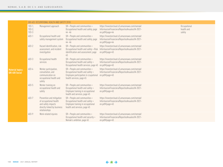|                                                  | GRI 403: OCCUPATIONAL HEALTH AND SAFETY 2018 |                                                                                                                           |                                                                                                                                        |                                                                                                                      |  |                                      |  |  |
|--------------------------------------------------|----------------------------------------------|---------------------------------------------------------------------------------------------------------------------------|----------------------------------------------------------------------------------------------------------------------------------------|----------------------------------------------------------------------------------------------------------------------|--|--------------------------------------|--|--|
|                                                  | $103 - 1,$<br>$103 - 2$<br>$103 - 3$         | Management approach                                                                                                       | SR > People and communities ><br>Occupational health and safety, page<br>$44 - 46$                                                     | https://investorcloud.s3.amazonaws.com/nemak/<br>InformacionFinanciera/ReportesAnuales/IA-2021-<br>en.pdf#page=44    |  | Occupational<br>health and<br>safety |  |  |
|                                                  | $403 - 1$                                    | Occupational health and<br>safety management system                                                                       | SR > People and communities ><br>Occupational health and safety, page<br>$44 - 46$                                                     | https://investorcloud.s3.amazonaws.com/nemak/<br>InformacionFinanciera/ReportesAnuales/IA-2021-<br>en.pdf#page=44    |  |                                      |  |  |
|                                                  | $403 - 2$                                    | Hazard identification, risk<br>assessment, and incident<br>investigation                                                  | $SR$ > People and communities ><br>Occupational health and safety > Risk<br>identification and assessment, page<br>45                  | https://investorcloud.s3.amazonaws.com/nemak/<br>InformacionFinanciera/ReportesAnuales/IA-2021-<br>$en.pdf$ #paqe=45 |  |                                      |  |  |
|                                                  | 403-3                                        | Occupational health<br>services                                                                                           | SR > People and communities ><br>Occupational health and safety ><br>Occupational health services, page 45                             | https://investorcloud.s3.amazonaws.com/nemak/<br>InformacionFinanciera/ReportesAnuales/IA-2021-<br>en.pdf#page=45    |  |                                      |  |  |
| <b>Aaterial topics:</b><br><b>GRI 400 Social</b> | 403-4                                        | Worker participation,<br>consultation, and<br>communication on<br>occupational health and<br>safety                       | SR > People and communities ><br>Occupational health and safety ><br>Employee participation in ccupational<br>health services, page 45 | https://investorcloud.s3.amazonaws.com/nemak/<br>InformacionFinanciera/ReportesAnuales/IA-2021-<br>$en.pdf$ #paqe=45 |  |                                      |  |  |
|                                                  | 403-5                                        | Worker training on<br>occupational health and<br>safety                                                                   | SR > People and communities ><br>Occupational health and safety ><br>Employee training in occupational<br>health and services, page 45 | https://investorcloud.s3.amazonaws.com/nemak/<br>InformacionFinanciera/ReportesAnuales/IA-2021-<br>en.pdf#page=45    |  |                                      |  |  |
|                                                  | 403-7                                        | Prevention and mitigation<br>of occupational health<br>and safety impacts<br>directly linked by business<br>relationships | SR > People and communities ><br>Occupational health and safety ><br>Employee training in occupational<br>health and services, page 45 | https://investorcloud.s3.amazonaws.com/nemak/<br>InformacionFinanciera/ReportesAnuales/IA-2021-<br>en.pdf#page=45    |  |                                      |  |  |
|                                                  | 403-9                                        | Work-related injuries                                                                                                     | $SR$ > People and communites ><br>Occupational health and security ><br>Nemak's ambition, page 45                                      | https://investorcloud.s3.amazonaws.com/nemak/<br>InformacionFinanciera/ReportesAnuales/IA-2021-<br>en.pdf#paqe=45    |  |                                      |  |  |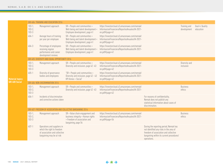|                         |                                               | GRI 404: TRAINING AND EDUCATION 2016                                                                                    |                                                                                                                               |                                                                                                                      |                                                                                                                                                                                        |                             |                              |
|-------------------------|-----------------------------------------------|-------------------------------------------------------------------------------------------------------------------------|-------------------------------------------------------------------------------------------------------------------------------|----------------------------------------------------------------------------------------------------------------------|----------------------------------------------------------------------------------------------------------------------------------------------------------------------------------------|-----------------------------|------------------------------|
|                         | $103 - 1,$<br>$103 - 2,$<br>$103 - 3$         | Management approach                                                                                                     | SR > People and communities ><br>Well-being and talent development ><br>Employee development, page 41                         | https://investorcloud.s3.amazonaws.com/nemak/<br>InformacionFinanciera/ReportesAnuales/IA-2021-<br>en.pdf#page=41    |                                                                                                                                                                                        | Training and<br>development | Goal 4: Quality<br>education |
|                         | 404-1                                         | Average hours of training<br>per year per employee                                                                      | $SR$ > People and communities ><br>Well-being and talent development ><br>Employee development, page 41                       | https://investorcloud.s3.amazonaws.com/nemak/<br>InformacionFinanciera/ReportesAnuales/IA-2021-<br>en.pdf#page=41    |                                                                                                                                                                                        |                             |                              |
|                         | 404-3                                         | Percentage of employees<br>receiving regular<br>performance and career<br>development reviews                           | $SR$ > People and communities ><br>Well-being and talent development ><br>Employee development, page 41                       | https://investorcloud.s3.amazonaws.com/nemak/<br>InformacionFinanciera/ReportesAnuales/IA-2021-<br>$en.pdf$ #paqe=41 |                                                                                                                                                                                        |                             |                              |
|                         | GRI 405: DIVERSITY AND EQUAL OPPORTUNITY 2016 |                                                                                                                         |                                                                                                                               |                                                                                                                      |                                                                                                                                                                                        |                             |                              |
| <b>Material topics:</b> | $103 - 1,$<br>$103 - 2,$<br>$103 - 3$         | Management approach                                                                                                     | SR > People and communities ><br>Diversity and inclusion, page 42 -43                                                         | https://investorcloud.s3.amazonaws.com/nemak/<br>InformacionFinanciera/ReportesAnuales/IA-2021-<br>$en.pdf$ #page=42 |                                                                                                                                                                                        | Diversity and<br>inclusion  |                              |
|                         | $405 - 1$                                     | Diversity of governance<br>bodies and employees                                                                         | "SR > People and communities ><br>Diversity and inclusion, page 42 - 43<br>KPI Annex > Social"                                | https://investorcloud.s3.amazonaws.com/nemak/<br>InformacionFinanciera/ReportesAnuales/IA-2021-<br>en.pdf#page=42    |                                                                                                                                                                                        |                             |                              |
| <b>GRI 400 Social</b>   |                                               | GRI 406: NON-DISCRIMINATION 2016                                                                                        |                                                                                                                               |                                                                                                                      |                                                                                                                                                                                        |                             |                              |
|                         | $103 - 1,$<br>$103 - 2,$<br>$103 - 3$         | Management approach                                                                                                     | SR > People and communities ><br>Diversity and inclusion, page 42-43                                                          | https://investorcloud.s3.amazonaws.com/nemak/<br>InformacionFinanciera/ReportesAnuales/IA-2021-<br>$en.pdf$ #page=42 |                                                                                                                                                                                        | <b>Business</b><br>ethics   |                              |
|                         | 406-1                                         | Incidents of discrimination<br>and corrective actions taken                                                             |                                                                                                                               |                                                                                                                      | For reasons of confidentiality,<br>Nemak does not publish any<br>statistical information about cases of<br>discrimination.                                                             |                             |                              |
|                         |                                               | GRI 407: FREEDOM OF ASSOCIATION AND COLLECTIVE BARGAINING 2016                                                          |                                                                                                                               |                                                                                                                      |                                                                                                                                                                                        |                             |                              |
|                         | $103 - 1,$<br>$103 - 2,$<br>$103 - 3$         | Management approach                                                                                                     | $SR$ > Value chain engagement and<br>business integrity > Human rights<br>> Freedom of association and<br>bargaining, page 54 | https://investorcloud.s3.amazonaws.com/nemak/<br>InformacionFinanciera/ReportesAnuales/IA-2021-<br>en.pdf#page=54    |                                                                                                                                                                                        | <b>Business</b><br>ethics   |                              |
|                         | $407 - 1$                                     | Operations and suppliers in<br>which the right to freedom<br>of association and collective<br>bargaining may be at risk |                                                                                                                               |                                                                                                                      | During the reporting period, Nemak has<br>not identified any risks in the area of<br>freedom of association and collective<br>bargaining within its current procedures/<br>operations. |                             |                              |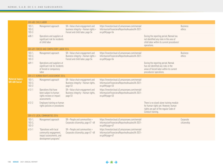|                          | GRI 408: CHILD LABOR                  |                                                                                                     |                                                                                                           |                                                                                                                      |                                                                                                                                                 |                           |
|--------------------------|---------------------------------------|-----------------------------------------------------------------------------------------------------|-----------------------------------------------------------------------------------------------------------|----------------------------------------------------------------------------------------------------------------------|-------------------------------------------------------------------------------------------------------------------------------------------------|---------------------------|
|                          | $103 - 1,$<br>$103 - 2,$<br>$103 - 3$ | Management approach                                                                                 | SR > Value chain engagement and<br>business integrity > Human rights ><br>Forced and child labor, page 54 | https://investorcloud.s3.amazonaws.com/nemak/<br>InformacionFinanciera/ReportesAnuales/IA-2021-<br>en.pdf#page=54    |                                                                                                                                                 | <b>Business</b><br>ethics |
|                          | $408 - 1$                             | Operations and suppliers at<br>significant risk for incidents<br>of child labor                     |                                                                                                           |                                                                                                                      | During the reporting period, Nemak has<br>not identified any risks in the area of<br>child labor within its current procedures/<br>operations.  |                           |
|                          |                                       | GRI 409: FORCED AND COMPULSORY LABOR 2016                                                           |                                                                                                           |                                                                                                                      |                                                                                                                                                 |                           |
|                          | $103 - 1,$<br>$103 - 2,$<br>$103 - 3$ | Management approach                                                                                 | SR > Value chain engagement and<br>Business integrity > Human rights ><br>Forced and child labor, page 54 | https://investorcloud.s3.amazonaws.com/nemak/<br>InformacionFinanciera/ReportesAnuales/IA-2021-<br>en.pdf#page=54    |                                                                                                                                                 | <b>Business</b><br>ethics |
|                          | $409 - 1$                             | Operations and suppliers at<br>significant risk for incidents<br>of forced or compulsory<br>labor   |                                                                                                           |                                                                                                                      | During the reporting period, Nemak<br>has not identified any risks in the<br>areas of forced labor within its current<br>procedures/operations. |                           |
|                          | GRI 412: HUMAN RIGHTS ASSESSMENT 2016 |                                                                                                     |                                                                                                           |                                                                                                                      |                                                                                                                                                 |                           |
| topics:<br><b>Social</b> | $103 - 1,$<br>$103 - 2$<br>$103 - 3$  | Management approach                                                                                 | SR > Value chain engagement and<br>Business integrity > Human rights,<br>page 53                          | https://investorcloud.s3.amazonaws.com/nemak/<br>InformacionFinanciera/ReportesAnuales/IA-2021-<br>en.pdf#page=53    |                                                                                                                                                 |                           |
|                          | $412 - 1$                             | Operations that have<br>been subject to human<br>rights reviews or impact<br>assessments            | SR > Value chain engagement and<br>Business integrity > Human rights,<br>page 53                          | https://investorcloud.s3.amazonaws.com/nemak/<br>InformacionFinanciera/ReportesAnuales/IA-2021-<br>$en.pdf$ #paqe=53 |                                                                                                                                                 |                           |
|                          | $412 - 2$                             | Employee training on human<br>rights policies or procedures                                         |                                                                                                           |                                                                                                                      | There is no stand-alone training module<br>for human rights yet. However, human<br>rights are part of the regular Code of<br>Conduct training.  |                           |
|                          |                                       | GRI 413: LOCAL COMMUNITIES 2016                                                                     |                                                                                                           |                                                                                                                      |                                                                                                                                                 |                           |
|                          | $103 - 1,$<br>$103 - 2,$<br>$103 - 3$ | Management approach                                                                                 | $SR$ > People and communities ><br>Corporate citizenship, page 47-48                                      | https://investorcloud.s3.amazonaws.com/nemak/<br>InformacionFinanciera/ReportesAnuales/IA-2021-<br>en.pdf#page=47    |                                                                                                                                                 | Corporate<br>citizenship  |
|                          | $413 - 1$                             | "Operations with local<br>community engagement,<br>impact assessments, and<br>development programs" | SR > People and communities ><br>Corporate citizenship, page 47 -48                                       | https://investorcloud.s3.amazonaws.com/nemak/<br>InformacionFinanciera/ReportesAnuales/IA-2021-<br>en.pdf#page=47    |                                                                                                                                                 |                           |
|                          |                                       |                                                                                                     |                                                                                                           |                                                                                                                      |                                                                                                                                                 |                           |

Materia  $\vert$  GRI 400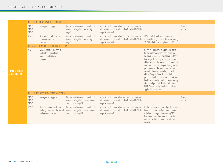|                                                  |                                         | GRI 414: SUPPIER SOCIAL ASSESSMENT 2016                                                |                                                                                              |                                                                                                                      |                                                                                                                                                                                                                                                                                                                                                                                                                                                                                                                                                                             |                           |
|--------------------------------------------------|-----------------------------------------|----------------------------------------------------------------------------------------|----------------------------------------------------------------------------------------------|----------------------------------------------------------------------------------------------------------------------|-----------------------------------------------------------------------------------------------------------------------------------------------------------------------------------------------------------------------------------------------------------------------------------------------------------------------------------------------------------------------------------------------------------------------------------------------------------------------------------------------------------------------------------------------------------------------------|---------------------------|
|                                                  | $103 - 1$ ,<br>$103 - 2$ ,<br>$103 - 3$ | Management approach                                                                    | SR > Value chain engagement and<br>business integrity > Human rights,<br>page 53             | https://investorcloud.s3.amazonaws.com/nemak/<br>InformacionFinanciera/ReportesAnuales/IA-2021-<br>en.pdf#page=53    |                                                                                                                                                                                                                                                                                                                                                                                                                                                                                                                                                                             | <b>Business</b><br>ethics |
|                                                  | $414 - 1$                               | New suppliers that were<br>screened using social<br>criteria                           | SR > Value chain engagement and<br>business integrity > Human rights,<br>page 53             | https://investorcloud.s3.amazonaws.com/nemak/<br>InformacionFinanciera/ReportesAnuales/IA-2021-<br>en.pdf#page=53    | 32% of all Nemak suppliers were<br>screened using social criteria, including<br>12,78% of all new suppliers in 2021.                                                                                                                                                                                                                                                                                                                                                                                                                                                        |                           |
|                                                  |                                         | GRI 416: CUSTOMER HEALTH AND SAFETY 2016                                               |                                                                                              |                                                                                                                      |                                                                                                                                                                                                                                                                                                                                                                                                                                                                                                                                                                             |                           |
| <b>Aaterial topics:</b><br><b>GRI 400 Social</b> | $416 - 1$                               | Assessment of the health<br>and safety impacts of<br>product and service<br>categories |                                                                                              |                                                                                                                      | Nemaks products are aluminum parts<br>for the automotive industry, such as<br>cylinder heas, shock towers or battery<br>housings. According to the current state<br>of knowledge, the substance aluminum<br>does not pose any danger during further<br>processing. At the same time, Nemak<br>cannot influence the safety impact<br>at the Company's customers, but its<br>products itself do not pose any risk for<br>health and safety. The health and safety<br>of the end product also lies with the<br>OEM. Consequently, the indicator is not<br>applicable to Nemak. |                           |
|                                                  |                                         | GRI 419: SOCIOECONOMIC COMPLIANCE 2016                                                 |                                                                                              |                                                                                                                      |                                                                                                                                                                                                                                                                                                                                                                                                                                                                                                                                                                             |                           |
|                                                  | $103 - 1$ ,<br>$103 - 2$<br>$103 - 3$   | Management approach                                                                    | SR > Value chain engagement and<br>business integrity > Socioeconomic<br>compliance, page 50 | https://investorcloud.s3.amazonaws.com/nemak/<br>InformacionFinanciera/ReportesAnuales/IA-2021-<br>$en.pdf$ #paqe=50 |                                                                                                                                                                                                                                                                                                                                                                                                                                                                                                                                                                             | <b>Business</b><br>ethics |
|                                                  | $419 - 1$                               | Non-Compliance with laws<br>and regulations in the social<br>and economic area         | SR > Value chain engagement and<br>business integrity > Socioeconomic<br>compliance, page 50 | https://investorcloud.s3.amazonaws.com/nemak/<br>InformacionFinanciera/ReportesAnuales/IA-2021-<br>en.pdf#page=50    | To the Company's knowledge, there have<br>been no instances of non-compliance<br>with laws or regulations during 2021<br>that have caused economic impacts<br>relevant to its business, operations or<br>results.                                                                                                                                                                                                                                                                                                                                                           |                           |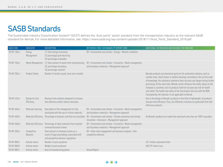# SASB Standards

The Sustainable Industry Classification System® (SICS®) defines the "Auto parts" sector standard from the transportation industry as the relevant SASB standard for Nemak. For more detialled information, see: https://www.sasb.org/wp-content/uploads/2018/11/Auto\_Parts\_Standard\_2018.pdf

| SASB CODE    | <b>INDICATOR</b>              | <b>DESCRIPTION</b>                                                                                                          | REFERENCE/ PAGE SUSTAINABILITY REPORT 2020                                                                           | ADDITIONAL INFORMATION AND REASONS FOR OMISSION                                                                                                                                                                                                                                                                                                                                                                                                                                                                                                         |
|--------------|-------------------------------|-----------------------------------------------------------------------------------------------------------------------------|----------------------------------------------------------------------------------------------------------------------|---------------------------------------------------------------------------------------------------------------------------------------------------------------------------------------------------------------------------------------------------------------------------------------------------------------------------------------------------------------------------------------------------------------------------------------------------------------------------------------------------------------------------------------------------------|
| TR-AP-130a.1 | Energy<br>Management          | (1) Total energy consumed,<br>(2) percentage grid electricity,<br>(3) percentage renewable                                  | $SR$ > Environment and climate > Energy > Nemak's amibition                                                          |                                                                                                                                                                                                                                                                                                                                                                                                                                                                                                                                                         |
| TR-AP-150a.1 | Waste Management              | (1) Total amount of waste from manufacturing,<br>(2) percentage hazardous,<br>(3) percentage recycled                       | $SR >$ Environment and climate $>$ Circularity $>$ Waste management<br>and hazardous materials > Management approach |                                                                                                                                                                                                                                                                                                                                                                                                                                                                                                                                                         |
| TR-AP-250a.1 | <b>Product Safety</b>         | Number of recalls issued, total units recalled                                                                              |                                                                                                                      | Nemaks products are aluminium parts for the automotive industry, such as<br>cylinder heas, shock towers or battery housings. According to the current state<br>of knowledge, the substance aluminum does not pose any danger during further<br>processing. At the same time, Nemak cannot influence the safety impact at the<br>Company's customers, but its products itself do not pose any risk for health<br>and safety. The health and safety of the end product also lies with the OEM.<br>Consequently, the indicator is not applicable to Nemak. |
| TR-AP-410a.1 | Design for Fuel<br>Efficiency | Revenue from products designed to increase<br>fuel efficiency and/or reduce emissions                                       |                                                                                                                      | Due to the design of Nemak's products in the field of lightweight, all products<br>increase fuel efficiency. Thus, all of Nemak's revenues are generated from fuel<br>efficiency products.                                                                                                                                                                                                                                                                                                                                                              |
| TR-AP-440a.1 | <b>Materials Sourcing</b>     | Description of the management of risks<br>associated with the use of critical materials                                     | SR > Environment and climate > Circularity > Waste management<br>and hazardous materials > Management approach       |                                                                                                                                                                                                                                                                                                                                                                                                                                                                                                                                                         |
| TR-AP-440b.1 | <b>Materials Efficiency</b>   | Percentage of products sold that are recyclable                                                                             | $SR$ > Environment and climate > Climate protection and climate<br>innovation > Emissions > Management approach      | As Nemak's products are made from aluminum only, they are 100% recycable.                                                                                                                                                                                                                                                                                                                                                                                                                                                                               |
| TR-AP-440b.2 | Materials Efficiency          | Percentage of input materials from recycled<br>orremanufactured content                                                     | SR > Environment and climate > Circularity > Waste management<br>and hazardous materials > Management approach       |                                                                                                                                                                                                                                                                                                                                                                                                                                                                                                                                                         |
| TR-AP-520a.1 | Competitive<br>Behavior       | Total amount of monetary losses as a<br>result of legal proceedings associated with<br>anticompetitive behavior regulations | SR > Value chain engagement and business integrity > Anti-<br>competitive behavior                                   |                                                                                                                                                                                                                                                                                                                                                                                                                                                                                                                                                         |
| TR-AP-000.A  | Activity metric               | Number of parts produced                                                                                                    |                                                                                                                      | 35.7 million equivalent Units                                                                                                                                                                                                                                                                                                                                                                                                                                                                                                                           |
| TR-AP-000.B  | Activity metric               | Weight of parts produced                                                                                                    |                                                                                                                      | 485,797 metric tons.                                                                                                                                                                                                                                                                                                                                                                                                                                                                                                                                    |
| TR-AP-000.C  | Activity metric               | Area of manufacturing plants                                                                                                | Annual Report                                                                                                        |                                                                                                                                                                                                                                                                                                                                                                                                                                                                                                                                                         |

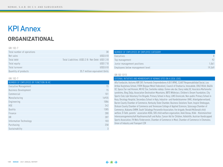# KPI Annex

# **ORGANIZATIONAL**

#### GRI 102-7

| Total number of operations | 38                                                 |
|----------------------------|----------------------------------------------------|
| Net sales                  | <b>US\$3.8 B</b>                                   |
| Total debt                 | Total Liabilities: US\$3.2 B / Net Debt: US\$1.3 B |
| Total equity               | <b>US\$1.7 B</b>                                   |
| Total turnover             | <b>US\$3.8 B</b>                                   |
| Quantity of products       | 35.7 million equivalent Units                      |

#### GRI 102-7

| NUMBER OF EMPLOYEES BY FUNCTION IN HC |       |
|---------------------------------------|-------|
| Executive Management                  | 15    |
| <b>Business Development</b>           | 15    |
| Commercial                            | 101   |
| Manufacturing                         | 16935 |
| Engineering                           | 1086  |
| <b>HSE</b>                            | 242   |
| Quality                               | 1385  |
| Finance                               | 280   |
| <b>HR</b>                             | 287   |
| Information Technology                | 103   |
| Purchasing                            | 258   |
| Sustainability                        | 3     |

| NUMBER OF EMPLOYEES BY EMPLOYEE CATEGORY |        |
|------------------------------------------|--------|
| Executives                               |        |
| Top management                           |        |
| Junior management positions              | 1,061  |
| Employees below management level         | 19.549 |

#### GRI 102-12/13

#### EXTERNAL INITIATIVES AND MEMBERSHIPS OF NEMAKS SITES ON A LOCAL LEVEL

Alfa Fundación, Autismo ABP, DIF, Formando Emprendedores A.B.P, IRPAC, CLAUT Responsabilidad Social, Lea Artibai Ikastetxea School, FVEM (Basque Metal Federation), Council of Etxebarria, Innovabide, CRUZ ROJA, Okáčik OZ, Spoza Žiar nad Hronom, MO RZ Žiar, Svetielko nádeje, Úsmev ako dar, Daruj nádej OZ, Asociácia Marfanovho syndrómu, Bieg Zbója, Association Destination-Mountains, BBTS Włókniarz, Children's Dream Foundation, City Sports Club, Łęki Voluntary Fire Brigade, Primary School in Kozy, LUKS Groniczek, Non-public Primary School in Kozy, Oncology Hospital, Secondary School in Kęty, Industrie- und Handelskammer (IHK), Arbeitgeberverband, Barren County Chamber of Commerce, Kentucky State Chamber, Business Solutions Team, Inspire Sheboygan, Dickson County Chamber of Commerce and Tennessee College of Applied Sciences, Sylacauga Chamber of Commerce, Alabama SHRM, South Talladega Personelle Association, fire brigade, Ronald McDonald child welfare, Ö-Tafel, parents´ association ASO6, SOS child welfare organzation, Askö Donau, Klikk - Kleinmünchner Interessensgemeinschaft Kaufmannschaft und Kultur, Cancer Aid for Children, Volkshilfe, Austrian Handicapped Sports Association, FH Wels Förderverein, Chamber of Commerce in Most, Chamber of Commerce in Chomutov, Union of Industry and Transport CZR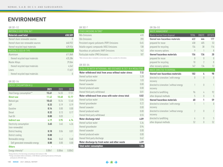# **ENVIRONMENT**

#### GRI 301-1/2

| <b>MATERIALS USED TOTAL IN T</b>    |         |
|-------------------------------------|---------|
| <b>Materials used total</b>         | 658,589 |
| thereof share renewable sources     |         |
| thereof share non-renewable sources | 640,932 |
| thereof recycled input materials    | 439,926 |
| MATERIALS USED BY TYPE              |         |
| Aluminium                           | 611,868 |
| thereof recycled input materials    | 435,384 |
| <b>Master Alloys</b>                | 29,064  |
| thereof recycled input materials    | 4,542   |
| Liners                              | 17,657  |
| thereof recycled input materials    |         |

### GRI 302-1/4

| <b>ENERGY CONSUMPTION M GJ</b>             |       |       |       |
|--------------------------------------------|-------|-------|-------|
|                                            | 2021  | 2020  | 2019  |
| Total Energy consumption**                 | 15.61 | 14.55 | 17.51 |
| <b>Direct use</b>                          | 11.42 | 10.60 | 12.77 |
| Natural gas                                | 10.63 | 10.24 | 12.40 |
| LGP                                        | 0.33  | 0.19  | 0.19  |
| Gasoline                                   | 0.14  | 0.00  | 0.00  |
| Diesel                                     | 0.32  | 0.13  | 0.17  |
| Fuel Oil                                   | 0.00  | 0.03  |       |
| <b>Indirect use</b>                        |       |       |       |
|                                            | 4.19  | 3.95  | 4.74  |
| Electricity consumption<br>(non-renewable) | 3.65  | 3.45  | 4.26  |
| District heating                           | 0.10  | 0.06  | 0.01  |
| District cooling                           | 0.00  |       |       |
| Renewable energy                           | 0.44  | 0.43  | 0.48  |
| Self generated renewable energy            | 0.00  | 0.00  | 0.00  |
| <b>Others</b>                              |       |       |       |

#### GRI 302-7

| OTHER EMISSIONS IN TONS*                                                                     |      |
|----------------------------------------------------------------------------------------------|------|
| <b>NOx Emissions</b>                                                                         | 410  |
| <b>SOx Emissions</b>                                                                         | 390  |
| Persistent organic pollutants (POP) Emissions                                                | 0.65 |
| Volatile organic compounds (VOC) Emissions                                                   | 138  |
| Hazardous air pollutants (HAP) Emissions                                                     | 142  |
| Particulate matter (PM) Emissions                                                            | 187  |
| *Other emissions data is incomplete as not all sites report/have available this information. |      |

#### GRI 303-3/4

| DETAILS ON WATER WITHDRAWAL AND DISCHARGE IN 2021 IN K MEGALITERS |      |
|-------------------------------------------------------------------|------|
| Water withdrawal total from areas without water stress            | 7.12 |
| thereof surface water                                             | 5.28 |
| thereof groundwater                                               | 1.03 |
| thereof seawater                                                  | 0.00 |
| thereof produced water                                            | 0.00 |
| thereof third party withdrawal                                    | 0.81 |
| Water withdrawal from areas with water stress total               | 0.82 |
| thereof surface water                                             | 0.04 |
| thereof groundwater                                               | 0.22 |
| thereof seawater                                                  | 0.00 |
| thereof produced water                                            | 0.00 |
| thereof third party withdrawal                                    | 0.55 |
| Water discharge total                                             | 6.89 |
| thereof surface water                                             | 5.34 |
| thereof groundwater                                               | 0.94 |
| thereof seawater                                                  | 0.00 |
| thereof produced water                                            | 0.00 |
| thereof third party discharge                                     | 0.62 |
| Water discharge by fresh water and other waste                    | 6.89 |
| <b>Total water consumption</b>                                    | 1.04 |
|                                                                   |      |

### GRI 306-5/5

| <b>WASTE MANAGEMENT</b>                              |                |                                      |                                  |
|------------------------------------------------------|----------------|--------------------------------------|----------------------------------|
| Waste diverted from disposal                         | <b>TOTAL</b>   | <b>ONSITE</b>                        | <b>OFFSITE</b>                   |
| thereof non-hazardous materials                      | 622            | 444                                  | 177                              |
| prepared for reuse                                   | 458            | 405                                  | 53                               |
| prepared for recycling                               | 154            | 38                                   | 116                              |
| other recovery options                               | 9              | 1                                    | 8                                |
| thereof hazardous materials                          | 156            | 136                                  | 20                               |
| prepared for reuse                                   | $\theta$       | $\theta$                             | $\begin{matrix} \end{matrix}$    |
| prepared for recycling                               | 10             | $\gamma$                             | 8                                |
| other recovery options                               | 147            | 134                                  | 12                               |
| WASTE DIRECTED TO DISPOSAL                           |                |                                      |                                  |
| thereof non-hazardous materials                      | 102            | 4                                    | 98                               |
| directed to icineration   with energy                | 0              | $\theta$                             | $\begin{array}{c} \n\end{array}$ |
| recovery                                             |                |                                      |                                  |
| directed to icineration   without energy<br>recovery | $\mathbf{1}$   | $\begin{matrix} 0 \\ 0 \end{matrix}$ | 1                                |
| directed to landfilling                              | 96             | 4                                    | 92                               |
| other disposal methods                               | 5              | $\sqrt{ }$                           | 5                                |
| thereof hazardous materials                          | 60             | 1                                    | 59                               |
| directed to icineration   with energy                | 1              | 1                                    | $\begin{matrix} \end{matrix}$    |
| recovery                                             |                |                                      |                                  |
| directed to icineration   without energy             | $\overline{2}$ | $\theta$                             | $\overline{2}$                   |
| recovery                                             |                |                                      |                                  |
| directed to landfilling                              | $\overline{6}$ | $\begin{array}{c} \n\end{array}$     | 5                                |
| other disposal methods                               | 52             | 0                                    | 52                               |

\*Energy intensity is the total energy consumed per total revenues in US\$.

\*\*Energy consumption reflects estimations, in 2022 Nemak is performing the exercise of third-party verification for 2018-2021 data.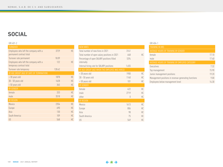# **SOCIAL**

### GRI 401-2

| TURNOVER                                                          |        |           |
|-------------------------------------------------------------------|--------|-----------|
| Employees who left the company with a<br>permanent contract total | 3729   | <b>HC</b> |
| Turnover rate permanent                                           | 18.09  |           |
| Employees who left the company with a<br>temporary contract total | 122    | <b>HC</b> |
| Turnover rate temporary                                           | 128.42 |           |
| BY AGE GROUP (AGE OF DATE OF TERMINATION)                         |        |           |
| < 30 years old                                                    | 1878   | <b>HC</b> |
| 30 - 50 years old                                                 | 1628   | <b>HC</b> |
| > 50 years old                                                    | 345    | <b>HC</b> |
| <b>BY GENDER</b>                                                  |        |           |
| female                                                            | 333    | <b>HC</b> |
| male                                                              | 3518   | <b>HC</b> |
| BY REGION                                                         |        |           |
| Mexico                                                            | 2354   | <b>HC</b> |
| Europe                                                            | 690    | <b>HC</b> |
| Asia                                                              | 130    | <b>HC</b> |
| South America                                                     | 109    | <b>HC</b> |
| US                                                                | 568    | <b>HC</b> |

| <b>NEW HIRES</b>                                         |                               |    |
|----------------------------------------------------------|-------------------------------|----|
| Total number of new hires in 2021                        | 3141                          |    |
| Total number of open salary positions in 2021            | 648                           | HC |
| Percentage of open SALARY positions filled<br>internally | 53%                           |    |
| Internal hiring rate for SALARY positions                | 1.655                         |    |
| BY AGE GROUP (AGE WHEN THE EMPLOYEE WAS HIRED)           |                               |    |
| < 30 years old                                           | 1900                          | HC |
| 30 - 50 years old                                        | 1140                          | HC |
| > 50 years old                                           | 101                           | HC |
| <b>BY GENDER</b>                                         |                               |    |
| female                                                   | 422                           | HC |
| male                                                     | 2719                          | HC |
| other                                                    | $\begin{matrix} \end{matrix}$ | HC |
| BY REGION                                                |                               |    |
| Mexico                                                   | 1613                          | HC |
| Europe                                                   | 806                           | HC |
| Asia                                                     | 98                            | HC |
| South America                                            | 75                            | HC |
| US                                                       | 549                           | HC |

#### GRI 404-1

| <b>TRAINING IN HRS</b>                               |       |
|------------------------------------------------------|-------|
| AVERAGE HOURS OF TRAINING BY GENDER                  |       |
| female                                               | 17.10 |
| male                                                 | 17.40 |
| AVERAGE HOURS OF TRAINING BY EMPLOYEE CATEGORY       |       |
| Executives                                           | 7.32  |
| Top management                                       | 15.90 |
| Junior management positions                          | 19.20 |
| Management positions in revenue-generating functions | 9.00  |
| Employees below management level                     | 14.30 |
|                                                      |       |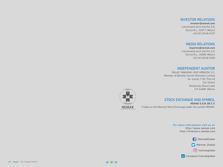# INVESTOR RELATIONS

**investor@nemak.com** Libramiento Arco Vial Km 3.8, García N.L., 66017, México +52 (81) 8748-5107

# MEDIA RELATIONS

**inquiries@nemak.com** Libramiento Arco Vial Km 3.8, García N.L., 66000, México +52 (81) 8748-5200

## INDEPENDENT AUDITOR

GALAZ, YAMAZAKI, RUIZ URQUIZA, S.C. Member of Deloitte Touche Tohmatsu Limited Av. Juárez 1102, Piso 40 Col. Centro Monterrey, Nuevo León C.P. 64000, México



## STOCK EXCHANGE AND SYMBOL

**NEMAK S.A.B. DE C.V.** Trades on the Mexican Stock Exchange under the symbol NEMAK.

> **For more information visit us at:** http://www.nemak.com http://investors.nemak.com

> > /NemakGlobal

/Nemak\_Global

/nemakglobal

/company/nemakglobal